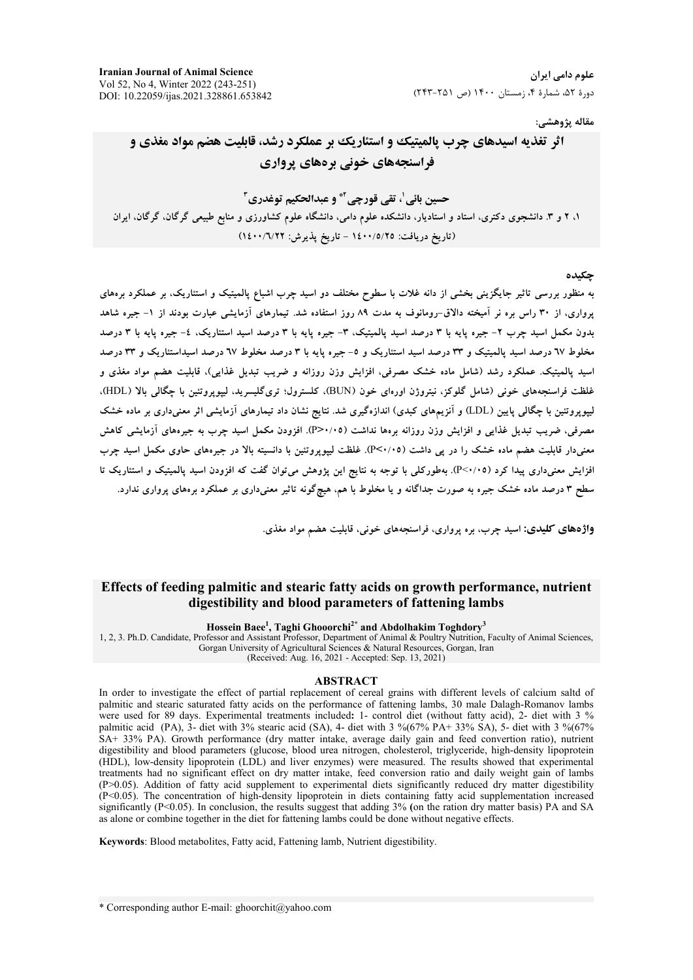**Iranian Journal of Animal Science** Vol 52, No 4, Winter 2022 (243-251) DOI: 10.22059/ijas.2021.328861.653842

### مقاله پژوهشي:

# اثر تغذیه اسیدهای چرب پالمیتیک و استئاریک بر عملکرد رشد، قابلیت هضم مواد مغذی و فراسنجههای خونی برههای پرواری

حسبن بائي'، تقي قورحي" و عبدالحكيم توغدري"

۱، ۲ و ۳. دانشجوی دکتری، استاد و استادیار، دانشکده علوم دامی، دانشگاه علوم کشاورزی و منابع طبیعی گرگان، گرگان، ایران (تاريخ دريافت: ١٤٠٠/٥/٢٥ - تاريخ يذيرش: ١٤٠٠/٦/٢٢)

#### حكىدە

به منظور بررسی تاثیر جایگزینی بخشی از دانه غلات با سطوح مختلف دو اسید چرب اشباع پالمیتیک و استئاریک، بر عملکرد برههای یرواری، از ۳۰ راس بره نر آمیخته دالاق-رومانوف به مدت ۸۹ روز استفاده شد. تیمارهای آزمایشی عبارت بودند از ۱- جیره شاهد بدون مکمل اسید چرب ۲- جیره پایه با ۳ درصد اسید پالمیتیک، ۳- جیره پایه با ۳ درصد اسید استئاریک، ٤- جیره پایه با ۳ درصد مخلوط ٦٧ درصد اسید پالمبتیک و ٣٣ درصد اسید استئاریک و ٥- جیره پایه با ٣ درصد مخلوط ٦٧ درصد اسیداستئاریک و ٣٣ درصد اسید پالمیتیک. عملکرد رشد (شامل ماده خشک مصرفی، افزایش وزن روزانه و ضریب تبدیل غذایی)، قابلیت هضم مواد مغذی و غلظت فراسنجههای خونی (شامل گلوکز، نیتروژن اورهای خون (BUN)، کلسترول؛ تریگلیسرید، لییویروتئین با چگالی بالا (HDL)، لیپوپروتئین با چگالی پایین (LDL) و آنزیمهای کبدی) اندازهگیری شد. نتایج نشان داد تیمارهای آزمایشی اثر معنیداری بر ماده خشک مصرفی، ضریب تبدیل غذایی و افزایش وزن روزانه برهها نداشت (P>۰/۰۵). افزودن مکمل اسید چرب به جیرههای آزمایشی کاهش معنیدار قابلیت هضم ماده خشک را در پی داشت (P<۰/۰۵). غلظت لیپوپروتئین با دانسیته بالا در جیرههای حاوی مکمل اسید چرب افزایش معنیداری پیدا کرد (P<۰/۰۵). بهطورکلی با توجه به نتایج این پژوهش میتوان گفت که افزودن اسید پالمیتیک و استئاریک تا سطح ۳ درصد ماده خشک جیره به صورت جداگانه و یا مخلوط با هم، هیچگونه تاثیر معنیداری بر عملکرد برههای پرواری ندارد.

واژههای کلیدی: اسید چرب، بره پرواری، فراسنجههای خونی، قابلیت هضم مواد مغذی.

## Effects of feeding palmitic and stearic fatty acids on growth performance, nutrient digestibility and blood parameters of fattening lambs

Hossein Baee<sup>1</sup>, Taghi Ghooorchi<sup>2\*</sup> and Abdolhakim Toghdory<sup>3</sup><br>1, 2, 3. Ph.D. Candidate, Professor and Assistant Professor, Department of Animal & Poultry Nutrition, Faculty of Animal Sciences, Gorgan University of Agricultural Sciences & Natural Resources, Gorgan, Iran

(Received: Aug. 16, 2021 - Accepted: Sep. 13, 2021)

#### **ABSTRACT**

In order to investigate the effect of partial replacement of cereal grains with different levels of calcium saltd of palmitic and stearic saturated fatty acids on the performance of fattening lambs, 30 male Dalagh-Romanov lambs were used for 89 days. Experimental treatments included: 1- control diet (without fatty acid), 2- diet with 3 % palmitic acid (PA), 3- diet with 3% stearic acid (SA), 4- diet with 3 %(67% PA+ 33% SA), 5- diet with 3 %(67% SA+ 33% PA). Growth performance (dry matter intake, average daily gain and feed convertion ratio), nutrient digestibility and blood parameters (glucose, blood urea nitrogen, cholesterol, triglyceride, high-density lipoprotein (HDL), low-density lipoprotein (LDL) and liver enzymes) were measured. The results showed that experimental treatments had no significant effect on dry matter intake, feed conversion ratio and daily weight gain of lambs (P>0.05). Addition of fatty acid supplement to experimental diets significantly reduced dry matter digestibility (P<0.05). The concentration of high-density lipoprotein in diets containing fatty acid supplementation increased significantly (P<0.05). In conclusion, the results suggest that adding 3% (on the ration dry matter basis) PA and SA as alone or combine together in the diet for fattening lambs could be done without negative effects.

Keywords: Blood metabolites, Fatty acid, Fattening lamb, Nutrient digestibility.

\* Corresponding author E-mail: ghoorchit@yahoo.com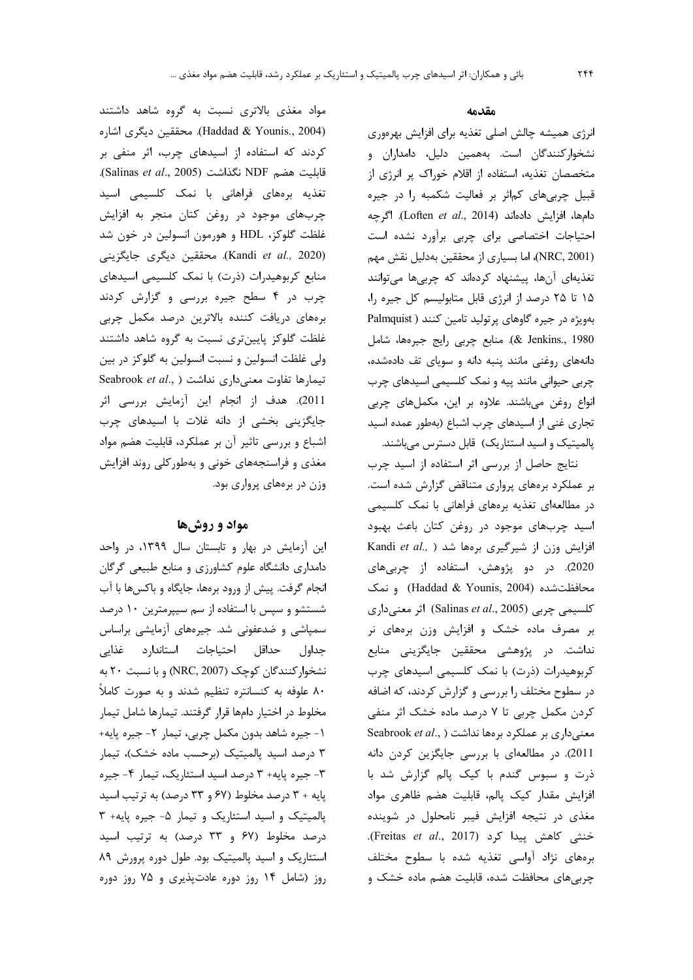مواد مغذی بالاتری نسبت به گروه شاهد داشتند (Haddad & Younis., 2004). محققين ديگري اشاره کردند که استفاده از اسیدهای چرب، اثر منفی بر .(Salinas et al., 2005) نكذاشت (Salinas et al., 2005). تغذیه برههای فراهانی با نمک کلسیمی اسید چربهای موجود در روغن کتان منجر به افزایش غلظت گلوکز، HDL و هورمون انسولین در خون شد (Kandi et al., 2020). محققین دیگری جایگزینی منابع کربوهیدرات (ذرت) با نمک کلسیمی اسیدهای چرب در ۴ سطح جیره بررسی و گزارش کردند برههای دریافت کننده بالاترین درصد مکمل چربی غلظت گلوکز پایینتری نسبت به گروه شاهد داشتند ولی غلظت انسولین و نسبت انسولین به گلوکز در بین Seabrook et al., ) تیمارها تفاوت معنیداری نداشت 2011). هدف از انجام این آزمایش بررسی اثر جایگزینی بخشی از دانه غلات با اسیدهای چرب اشباع و بررسی تاثیر آن بر عملکرد، قابلیت هضم مواد مغذی و فراسنجههای خونی و بهطور کلی روند افزایش وزن در برەهای پرواری بود.

### مواد و روشها

این آزمایش در بهار و تابستان سال ۱۳۹۹، در واحد دامداری دانشگاه علوم کشاورزی و منابع طبیعی گرگان انجام گرفت. پیش از ورود برهها، جایگاه و باکسها با آب شستشو و سپس با استفاده از سم سیپرمترین ۱۰ درصد سمیاشی و ضدعفونی شد. جیرههای آزمایشی براساس جداول حداقل احتياجات استاندارد غذايي نشخوار کنندگان کوچک (NRC, 2007) و با نسبت ٢٠ به ۸۰ علوفه به کنسانتره تنظیم شدند و به صورت کاملاً مخلوط در اختيار دامها قرار گرفتند. تيمارها شامل تيمار ١- جيره شاهد بدون مكمل چربي، تيمار ٢- جيره پايه+ ۳ درصد اسید پالمیتیک (برحسب ماده خشک)، تیمار ٣- جيره پايه+ ٣ درصد اسيد استئاريک، تيمار ۴- جيره یایه + ۳ درصد مخلوط (۶۷ و ۳۳ درصد) به ترتیب اسید پالمیتیک و اسید استئاریک و تیمار ۵- جیره پایه+ ۳ درصد مخلوط (۶۷ و ۳۳ درصد) به ترتیب اسید استئاریک و اسید پالمیتیک بود. طول دوره پرورش ۸۹ روز (شامل ۱۴ روز دوره عادتپذیری و ۷۵ روز دوره

### مقدمه

انرژی همیشه چالش اصلی تغذیه برای افزایش بهرهوری نشخوارکنندگان است. بههمین دلیل، دامداران و متخصصان تغذیه، استفاده از اقلام خوراک پر انرژی از قبیل چربیهای کم اثر بر فعالیت شکمبه را در جیره دامها، افزایش دادهاند (Loften et al., 2014). اگرچه احتیاجات اختصاصی برای چربی برآورد نشده است (NRC, 2001)، اما بسیاری از محققین بهدلیل نقش مهم تغذیهای آنها، پیشنهاد کردهاند که چربیها میتوانند ۱۵ تا ۲۵ درصد از انرژی قابل متابولیسم کل جیره را، بهویژه در جیره گاوهای پرتولید تامین کنند ( Palmquist & Jenkins., 1980). منابع چربی رایج جیرهها، شامل دانههای روغنی مانند پنبه دانه و سویای تف دادهشده، چربی حیوانی مانند پیه و نمک کلسیمی اسیدهای چرب انواع روغن می باشند. علاوه بر این، مکملهای چربی تجاری غنی از اسیدهای چرب اشباع (بهطور عمده اسید پالمیتیک و اسید استئاریک) قابل دسترس میباشند.

نتایج حاصل از بررسی اثر استفاده از اسید چرب بر عملکرد برههای پرواری متناقض گزارش شده است. در مطالعهای تغذیه برههای فراهانی با نمک کلسیمی اسید چربهای موجود در روغن کتان باعث بهبود Kandi et al., ) افزایش وزن از شیرگیری برهها شد 2020). در دو پژوهش، استفاده از چربیهای محافظتشده (Haddad & Younis, 2004) و نمک كلسيمى چربى (Salinas et al., 2005) اثر معنىدارى بر مصرف ماده خشک و افزایش وزن برههای نر نداشت. در پژوهشی محققین جایگزینی منابع کربوهیدرات (ذرت) با نمک کلسیمی اسیدهای چرب در سطوح مختلف را بررسی و گزارش کردند، که اضافه کردن مکمل چربی تا ۷ درصد ماده خشک اثر منفی Seabrook et al., ) نداشت (Seabrook et al., ) 2011). در مطالعهای با بررسی جایگزین کردن دانه ذرت و سبوس گندم با کیک پالم گزارش شد با افزایش مقدار کیک پالم، قابلیت هضم ظاهری مواد مغذی در نتیجه افزایش فیبر نامحلول در شوینده خنثی کاهش پیدا کرد (Freitas et al., 2017). برههای نژاد آواسی تغذیه شده با سطوح مختلف چربی های محافظت شده، قابلیت هضم ماده خشک و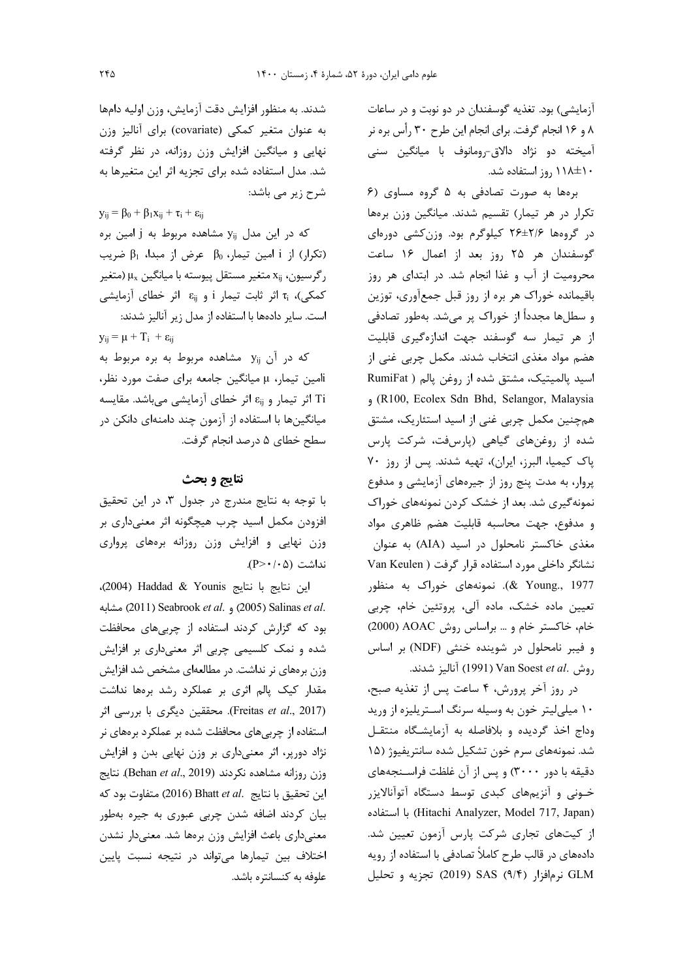آزمايشي) بود. تغذيه گوسفندان در دو نوبت و در ساعات ۸ و ۱۶ انجام گرفت. برای انجام این طرح ۳۰ رأس بره نر آمیخته دو نژاد دالاق-رومانوف با میانگین سنی ۱۰±۱۱۸ روز استفاده شد.

برهها به صورت تصادفی به ۵ گروه مساوی (۶ تکرار در هر تیمار) تقسیم شدند. میانگین وزن برهها در گروهها ۲۶±۲۶ کیلوگرم بود. وزنکشی دورهای گوسفندان هر ۲۵ روز بعد از اعمال ۱۶ ساعت محرومیت از آب و غذا انجام شد. در ابتدای هر روز باقیمانده خوراک هر بره از روز قبل جمعآوری، توزین و سطلها مجدداً از خوراک پر میشد. بهطور تصادفی از هر تیمار سه گوسفند جهت اندازهگیری قابلیت هضم مواد مغذی انتخاب شدند. مکمل چربی غنی از اسيد پالميتيک، مشتق شده از روغن پالم ( RumiFat (R100, Ecolex Sdn Bhd, Selangor, Malaysia همچنین مکمل چربی غنی از اسید استئاریک، مشتق شده از روغنهای گیاهی (پارسفت، شرکت پارس پاک کیمیا، البرز، ایران)، تهیه شدند. پس از روز ٧٠ پروار، به مدت پنج روز از جیرههای آزمایشی و مدفوع نمونهگیری شد. بعد از خشک کردن نمونههای خوراک و مدفوع، جهت محاسبه قابليت هضم ظاهرى مواد مغذی خاکستر نامحلول در اسید (AIA) به عنوان نشانگر داخلی مورد استفاده قرار گرفت ( Van Keulen 277 ...X voung). نمونههای خوراک به منظور تعیین ماده خشک، ماده آلی، پروتئین خام، چربی خام، خاکستر خام و ... براساس روش AOAC (2000) و فيبر نامحلول در شوينده خنثى (NDF) بر اساس روش .Van Soest et al (1991) آناليز شدند.

در روز آخر پرورش، ۴ ساعت پس از تغذیه صبح، ۱۰ میلی لیتر خون به وسیله سرنگ استریلیزه از ورید وداج اخذ گردیده و بلافاصله به آزمایشگاه منتقل شد. نمونههای سرم خون تشکیل شده سانتریفیوژ (۱۵ دقیقه با دور ۳۰۰۰) و پس از آن غلظت فراسـنجههای خونی و آنزیمهای کبدی توسط دستگاه آتوآنالایزر (Hitachi Analyzer, Model 717, Japan) با استفاده از کیتهای تجاری شرکت پارس آزمون تعیین شد. دادههای در قالب طرح کاملاً تصادفی با استفاده از رویه GLM نرمافزار (۹/۴) SAS (۹/۴ تجزيه و تحليل

شدند. به منظور افزایش دقت آزمایش، وزن اولیه دامها به عنوان متغیر کمکی (covariate) برای آنالیز وزن نهایی و میانگین افزایش وزن روزانه، در نظر گرفته شد. مدل استفاده شده برای تجزیه اثر این متغیرها به شرح زیر مے باشد:

 $y_{ii} = \beta_0 + \beta_1 x_{ii} + \tau_i + \epsilon_{ii}$ 

که در این مدل y<sub>ij</sub> مشاهده مربوط به j امین بره (تكرار) از i امين تيمار،  $\beta_0$  عرض از مبدا،  $\beta_1$  ضريب رگرسیون، X<sub>ij</sub> متغیر مستقل پیوسته با میانگین μ<sub>x</sub> (متغیر کمکی)، Ti اثر ثابت تیمار i و <sub>ij</sub> اثر خطای آزمایشی است. سایر دادهها با استفاده از مدل زیر آنالیز شدند:

 $y_{ij} = \mu + T_i + \epsilon_{ii}$ 

که در آن yij مشاهده مربوط به بره مربوط به ilمین تیمار، µ میانگین جامعه برای صفت مورد نظر، Ti اثر تیمار و E<sub>ij</sub> اثر خطای آزمایشی میباشد. مقایسه میانگینها با استفاده از آزمون چند دامنهای دانکن در سطح خطای ۵ درصد انجام گرفت.

# نتايج و بحث

با توجه به نتایج مندرج در جدول ۳، در این تحقیق افزودن مکمل اسید چرب هیچگونه اثر معنیداری بر وزن نهایی و افزایش وزن روزانه برههای پرواری نداشت (A>٠/٠۵).

این نتایج با نتایج Saddad & Younis (2004)، .2005) Salinas et al. و .2005) Seabrook et al. بود که گزارش کردند استفاده از چربی های محافظت شده و نمک کلسیمی چربی اثر معنیداری بر افزایش وزن برههای نر نداشت. در مطالعهای مشخص شد افزایش مقدار کیک پالم اثری بر عملکرد رشد برهها نداشت (Freitas et al., 2017). محققین دیگری با بررسی اثر استفاده از چربیهای محافظت شده بر عملکرد برههای نر نژاد دورپر، اثر معنیداری بر وزن نهایی بدن و افزایش وزن روزانه مشاهده نكردند (Behan et al., 2019). نتايج اين تحقيق با نتايج .Bhatt et al (2016) متفاوت بود كه بیان کردند اضافه شدن چربی عبوری به جیره بهطور معنىدارى باعث افزايش وزن برمها شد. معنىدار نشدن اختلاف بین تیمارها میتواند در نتیجه نسبت پایین علوفه به كنسانتره باشد.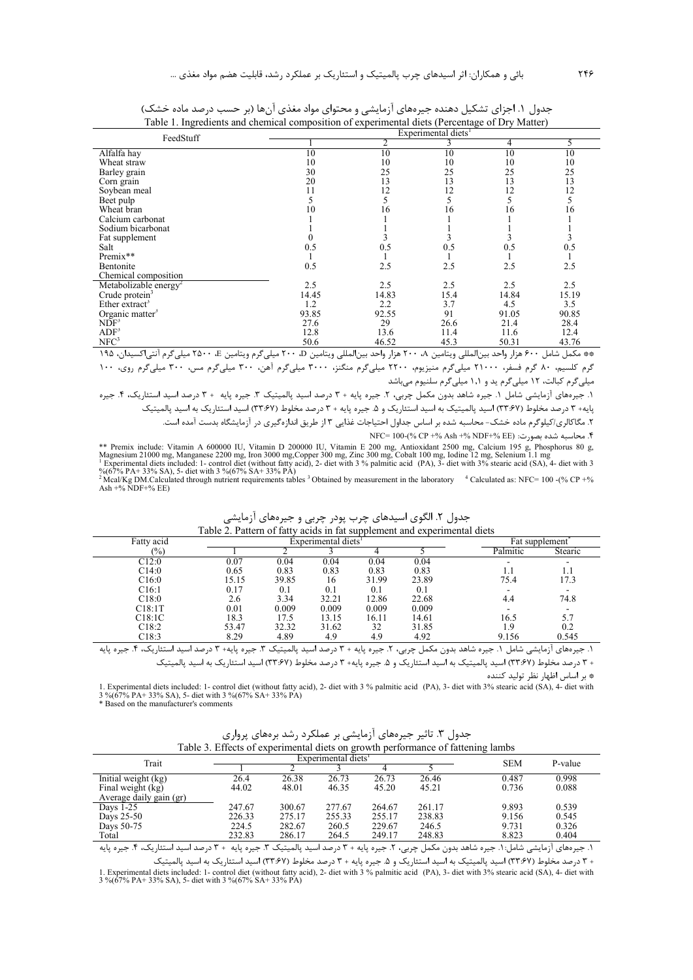| FeedStuff                         | Experimental diets <sup>1</sup> |         |      |       |       |  |  |  |
|-----------------------------------|---------------------------------|---------|------|-------|-------|--|--|--|
|                                   |                                 | 2       | 3    | 4     | 5     |  |  |  |
| Alfalfa hay                       | 10                              | 10      | 10   | 10    | 10    |  |  |  |
| Wheat straw                       | 10                              | 10      | 10   | 10    | 10    |  |  |  |
| Barley grain                      | 30                              | 25      | 25   | 25    | 25    |  |  |  |
| Corn grain                        | 20                              | 13      | 13   | 13    | 13    |  |  |  |
| Soybean meal                      | 11                              | 12      | 12   | 12    | 12    |  |  |  |
| Beet pulp                         |                                 |         |      |       | 5     |  |  |  |
| Wheat bran                        | 10                              | 16      | 16   | 16    | 16    |  |  |  |
| Calcium carbonat                  |                                 |         |      |       |       |  |  |  |
| Sodium bicarbonat                 |                                 |         |      |       |       |  |  |  |
| Fat supplement                    |                                 |         |      |       |       |  |  |  |
| Salt                              | 0.5                             | 0.5     | 0.5  | 0.5   | 0.5   |  |  |  |
| Premix**                          |                                 |         |      |       |       |  |  |  |
| Bentonite                         | 0.5                             | 2.5     | 2.5  | 2.5   | 2.5   |  |  |  |
| Chemical composition              |                                 |         |      |       |       |  |  |  |
| Metabolizable energy <sup>2</sup> | 2.5                             | 2.5     | 2.5  | 2.5   | 2.5   |  |  |  |
| Crude protein <sup>3</sup>        | 14.45                           | 14.83   | 15.4 | 14.84 | 15.19 |  |  |  |
| Ether extract <sup>3</sup>        | 1.2                             | $2.2\,$ | 3.7  | 4.5   | 3.5   |  |  |  |
| Organic matter <sup>3</sup>       | 93.85                           | 92.55   | 91   | 91.05 | 90.85 |  |  |  |
| $NDF^3$                           | 27.6                            | 29      | 26.6 | 21.4  | 28.4  |  |  |  |
| ADF <sup>3</sup>                  | 12.8                            | 13.6    | 11.4 | 11.6  | 12.4  |  |  |  |
| NFC <sup>3</sup>                  | 50.6                            | 46.52   | 45.3 | 50.31 | 43.76 |  |  |  |

جدول ۱. اجزای تشکیل دهنده جیرههای آزمایشی و محتوای مواد مغذی آنها (بر حسب درصد ماده خشک) Table 1. Ingredients and chemical composition of experimental diets (Percentage of Dry Matter)

\*\* مكمل شامل ۶۰۰ هزار واحد بينالمللي ويتامين ۲۰۰ هزار واحد بينالمللي ويتامين D ۲۰۰ ميليگرم ويتامين E ۲۵۰۰ ميليگرم آنتي|كسيدان، ۱۹۵ می در سال ۲۰۰۰ می در دست.<br>گرم کلسیم، ۸۰ گرم فسفر، ۲۱۰۰۰ میلی گرم منیزیوم، ۲۲۰۰ میلیگرم منگنز، ۳۰۰۰ میلیگرم آهن، ۳۰۰ میلیگرم مس، ۳۰۰ میلیگرم روی، ۱۰۰ میلی گرم کبالت، ۱۲ میلی گرم ید و ۱٫۱ میلی گرم سلنیوم میباشد

۱. جیرههای آزمایشی شامل ۱. جیره شاهد بدون مکمل چربی، ۲. جیره پایه + ۳ درصد اسید پالمیتیک ۳. جیره پایه + ۳ درصد اسید استئاریک، ۴. جیره پایه+ ۳ درصد مخلوط (۳۳:۶۷) اسید پالمیتیک به اسید استئاریک و ۵. جیره پایه + ۳ درصد مخلوط (۳۳:۶۷) اسید استئاریک به اسید پالمیتیک ۲. مگاکالری/کیلوگرم ماده خشک- محاسبه شده بر اساس جداول احتیاجات غذایی ۳ از طریق اندازهگیری در آزمایشگاه بدست آمده است.

.<br>۴. محاسبه شده بصورت: (NDF+% EE % 100-(% CP +% Ash +% NDF+% EE

\*\* Premix include: Vitamin A 600000 IU, Vitamin D 200000 IU, Vitamin E 200 mg, Antioxidant 2500 mg, Calcium 195 g, Phosphorus 80 g, Magnesium 21000 mg, Manganese 2200 mg, Iron 3000 mg, Copper 300 mg, Zinc 300 mg, Cobalt 10

%(67% PA+ 33% SA), 5- diet with 3 %(67% SA+ 33% PA)<br>
<sup>2</sup> Mcal/Kg DM.Calculated through nutrient requirements tables <sup>3</sup> Obtained by measurement in the laboratory <sup>4</sup> Calculated as: NFC= 100 -(% CP +% Ash +% NDF+% EE)

| Fatty acid                                                                                                        |       | Experimental diets <sup>1</sup> |         |       |       |          | Fat supplement         |
|-------------------------------------------------------------------------------------------------------------------|-------|---------------------------------|---------|-------|-------|----------|------------------------|
| (%)                                                                                                               |       |                                 |         |       |       | Palmitic | Stearic                |
| C12:0                                                                                                             | 0.07  | 0.04                            | 0.04    | 0.04  | 0.04  |          |                        |
| C14:0                                                                                                             | 0.65  | 0.83                            | 0.83    | 0.83  | 0.83  |          | 1.1                    |
| C16:0                                                                                                             | 15.15 | 39.85                           | 16      | 31.99 | 23.89 | 75.4     | 17.3                   |
| C <sub>16:1</sub>                                                                                                 | 0.17  | 0.1                             | $0.1\,$ | 0.1   | 0.1   |          |                        |
| C18:0                                                                                                             | 2.6   | 3.34                            | 32.21   | 12.86 | 22.68 | 4.4      | 74.8                   |
| C18:1T                                                                                                            | 0.01  | 0.009                           | 0.009   | 0.009 | 0.009 |          |                        |
| C18:1C                                                                                                            | 18.3  | 17.5                            | 13.15   | 16.11 | 14.61 | 16.5     | 5.7                    |
| C18:2                                                                                                             | 53.47 | 32.32                           | 31.62   | 32    | 31.85 | 1.9      | 0.2                    |
| C18:3                                                                                                             | 8.29  | 4.89                            | 4.9     | 4.9   | 4.92  | 9.156    | 0.545                  |
| ١. حيره شاهد بدون مكمل جربي، ٢. حيره بابه + ٣ درصد اسيد بالميتيك ٣. حيره بابه+ ٣ درصد اسيد استئاريك، ۴. حيره بابه |       |                                 |         |       |       | شاما .   | ۱: ماىشە<br>۱. حب مهای |

جدول ۲. الگوی اسیدهای چرب پودر چربی و جیرههای آزمایشی Table 2. Pattern of fatty acids in fat supplement and experimental diets

\* بر اساس اظهار نظر تولید کننده

1. Experimental diets included: 1- control diet (without fatty acid), 2- diet with 3 % palmitic acid (PA), 3- diet with 3% stearic acid (SA), 4- diet with 1.  $\triangle A$ ,  $\triangle B$  and  $\triangle A$ ,  $\triangle B$ ,  $\triangle A$ ,  $\triangle B$ ,  $\triangle A$ ,  $\triangle B$ ,  $\triangle A$ ,  $\triangle B$ ,  $\triangle A$ ,  $\triangle B$ ,  $\triangle A$ ,  $\triangle B$ ,  $\triangle A$ ,  $\triangle B$ ,  $\triangle A$ ,  $\triangle B$ ,  $\triangle A$ ,  $\triangle B$ ,  $\triangle A$ ,  $\triangle B$ ,  $\triangle A$ ,  $\triangle B$ ,  $\triangle A$ ,  $\triangle B$ ,  $\triangle A$ ,  $\triangle B$ ,  $\triangle A$ ,  $\triangle B$ ,  $\triangle A$ 

| جدول ۳. تاثیر جیرههای آزمایشی بر عملکرد رشد برههای پرواری                           |  |  |
|-------------------------------------------------------------------------------------|--|--|
| <sup>2</sup> Effects of experimental digts on growth performance of fottening lambs |  |  |

| Table 3. Effects of experimental diets on growth performance of fattening lambs |        |                                 |            |         |        |       |       |  |  |
|---------------------------------------------------------------------------------|--------|---------------------------------|------------|---------|--------|-------|-------|--|--|
| Trait                                                                           |        | Experimental diets <sup>1</sup> | <b>SEM</b> | P-value |        |       |       |  |  |
|                                                                                 |        |                                 |            |         |        |       |       |  |  |
| Initial weight (kg)                                                             | 26.4   | 26.38                           | 26.73      | 26.73   | 26.46  | 0.487 | 0.998 |  |  |
| Final weight (kg)                                                               | 44.02  | 48.01                           | 46.35      | 45.20   | 45.21  | 0.736 | 0.088 |  |  |
| Average daily gain (gr)                                                         |        |                                 |            |         |        |       |       |  |  |
| Days $1-25$                                                                     | 247.67 | 300.67                          | 277.67     | 264.67  | 261.17 | 9.893 | 0.539 |  |  |
| Days 25-50                                                                      | 226.33 | 275.17                          | 255.33     | 255.17  | 238.83 | 9.156 | 0.545 |  |  |
| Days 50-75                                                                      | 224.5  | 282.67                          | 260.5      | 229.67  | 246.5  | 9.731 | 0.326 |  |  |
| Total                                                                           | 232.83 | 286.17                          | 264.5      | 249.17  | 248.83 | 8.823 | 0.404 |  |  |

۱. جیرههای آزمایشی شامل:۱. جیره شاهد بدون مکمل چربی، ۲. جیره پایه + ۳ درصد اسید پالمیتیک ۳. جیره پایه + ۳ درصد اسید استئاریک، ۴. جیره پایه

.<br>+ ۳ درصد مخلوط (۳۳:۶۷) اسید پالمیتیک به اسید استئاریک و ۵. جیره پایه + ۳ درصد مخلوط (۳۳:۶۷) اسید استئاریک به اسید پالمیتیک 1. Experimental diets included: 1- control diet (without fatty acid), 2- diet with 3 % palmitic acid (PA), 3- diet with 3% stearic acid (SA), 4- diet with 3% (67% PA+ 33% SA), 5- diet with 3 % (67% SA+ 33% PA)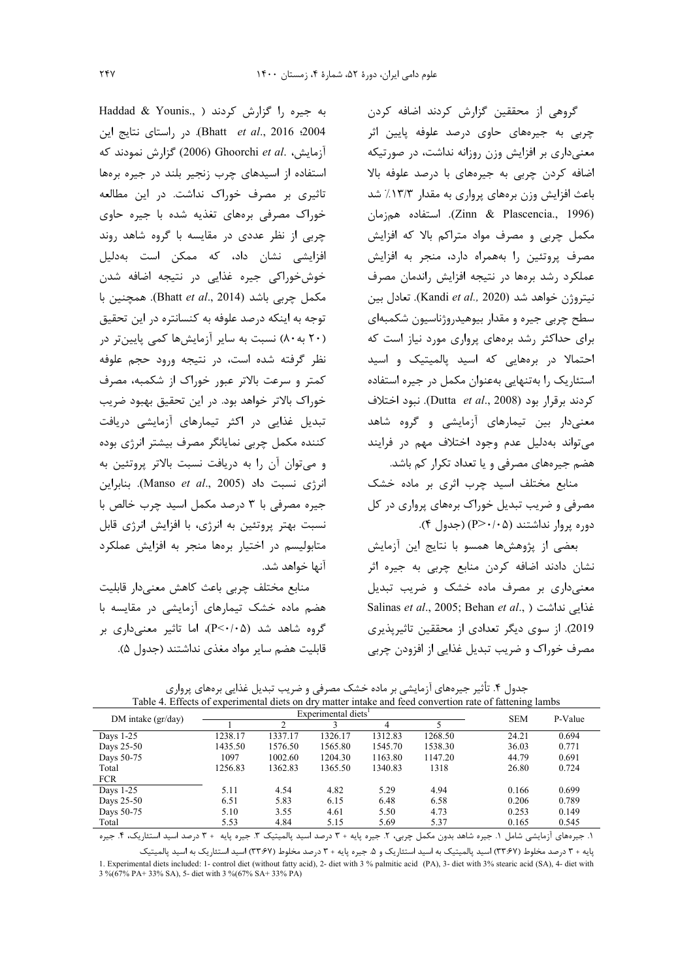گروهی از محققین گزارش کردند اضافه کردن چربی به جیرههای حاوی درصد علوفه پایین اثر معنیداری بر افزایش وزن روزانه نداشت، در صورتیکه اضافه کردن چربی به جیرههای با درصد علوفه بالا باعث افزایش وزن برههای پرواری به مقدار ۱۳/۳٪ شد (Zinn & Plascencia., 1996). استفاده همزمان مکمل چربی و مصرف مواد متراکم بالا که افزایش مصرف پروتئین را بههمراه دارد، منجر به افزایش عملکرد رشد برمها در نتیجه افزایش راندمان مصرف نيتروژن خواهد شد (Kandi et al., 2020). تعادل بين سطح چربی جیره و مقدار بیوهیدروژناسیون شکمبهای برای حداکثر رشد برههای پرواری مورد نیاز است که احتمالا در برههایی که اسید پالمیتیک و اسید استئاریک را بهتنهایی بهعنوان مکمل در جیره استفاده كردند برقرار بود (Dutta et al., 2008). نبود اختلاف معنیدار بین تیمارهای آزمایشی و گروه شاهد می تواند بهدلیل عدم وجود اختلاف مهم در فرایند هضم جیرههای مصرفی و یا تعداد تکرار کم باشد.

منابع مختلف اسید چرب اثری بر ماده خشک مصرفی و ضریب تبدیل خوراک برههای پرواری در کل دوره پروار نداشتند (P>۰/۰۵) (جدول ۴).

بعضی از پژوهشها همسو با نتایج این آزمایش نشان دادند اضافه کردن منابع چربی به جیره اثر معنیداری بر مصرف ماده خشک و ضریب تبدیل Salinas et al., 2005; Behan et al., ) غذايي نداشت 2019). از سوی دیگر تعدادی از محققین تاثیرپذیری مصرف خوراک و ضریب تبدیل غذایی از افزودن چربی

چربی از نظر عددی در مقایسه با گروه شاهد روند افزایشی نشان داد، که ممکن است بهدلیل خوشخوراکی جیره غذایی در نتیجه اضافه شدن مكمل چربي باشد (Bhatt et al., 2014). همچنين با توجه به اینکه درصد علوفه به کنسانتره در این تحقیق (۲۰ به ۸۰) نسبت به سایر آزمایشها کمی پایین تر در نظر گرفته شده است، در نتیجه ورود حجم علوفه كمتر و سرعت بالاتر عبور خوراك از شكمبه، مصرف خوراک بالاتر خواهد بود. در این تحقیق بهبود ضریب تبدیل غذایی در اکثر تیمارهای آزمایشی دریافت كننده مكمل چربي نمايانگر مصرف بيشتر انرژي بوده و میتوان آن را به دریافت نسبت بالاتر پروتئین به انرژی نسبت داد (Manso *et al.*, 2005). بنابراین جیرہ مصرفی با ۳ درصد مکمل اسید چرب خالص با نسبت بهتر پروتئین به انرژی، با افزایش انرژی قابل

آنها خواهد شد.

منابع مختلف چربی باعث كاهش معنى دار قابليت هضم ماده خشک تیمارهای آزمایشی در مقایسه با گروه شاهد شد (P<٠/٠۵)، اما تاثیر معنیداری بر قابلیت هضم سایر مواد مغذی نداشتند (جدول ۵).

متابولیسم در اختیار برهها منجر به افزایش عملکرد

Haddad & Younis., ) به جيره را گزارش كردند

2004؛ Bhatt et al., 2016). در راستای نتایج این

آزمایش، .Ghoorchi et al (2006) گزارش نمودند که

استفاده از اسیدهای چرب زنجیر بلند در جیره برهها

تاثیری بر مصرف خوراک نداشت. در این مطالعه

خوراک مصرفی برههای تغذیه شده با جیره حاوی

| DM intake $\frac{gr}{day}$ |         | Experimental diets <sup>1</sup> | <b>SEM</b> | P-Value |         |       |       |
|----------------------------|---------|---------------------------------|------------|---------|---------|-------|-------|
|                            |         |                                 |            | 4       |         |       |       |
| Days $1-25$                | 1238.17 | 1337.17                         | 1326.17    | 1312.83 | 1268.50 | 24.21 | 0.694 |
| Days 25-50                 | 1435.50 | 1576.50                         | 1565.80    | 1545.70 | 1538.30 | 36.03 | 0.771 |
| Days 50-75                 | 1097    | 1002.60                         | 1204.30    | 1163.80 | 1147.20 | 44.79 | 0.691 |
| Total                      | 1256.83 | 1362.83                         | 1365.50    | 1340.83 | 1318    | 26.80 | 0.724 |
| <b>FCR</b>                 |         |                                 |            |         |         |       |       |
| Days $1-25$                | 5.11    | 4.54                            | 4.82       | 5.29    | 4.94    | 0.166 | 0.699 |
| Days 25-50                 | 6.51    | 5.83                            | 6.15       | 6.48    | 6.58    | 0.206 | 0.789 |
| Days 50-75                 | 5.10    | 3.55                            | 4.61       | 5.50    | 4.73    | 0.253 | 0.149 |
| Total                      | 5.53    | 4.84                            | 5.15       | 5.69    | 5.37    | 0.165 | 0.545 |
|                            |         |                                 |            |         |         |       |       |

جدول ۴. تأثیر جیرەهای آزمایشی بر ماده خشک مصرفی و ضریب تبدیل غذایی برەهای پرواری Table 4. Effects of experimental diets on dry matter intake and feed convertion rate of fattening lambs

١. جيرههاي آزمايشي شامل ١. جيره شاهد بدون مكمل چربي، ٢. جيره پايه + ٣ درصد اسيد پالميتيک ٣. جيره پايه + ٣ درصد اسيد استئاريک، ۴. جيره

پایه + ۳ درصد مخلوط (۳۳:۶۷) اسید پالمیتیک به اسید استئاریک و ۵. جیره پایه + ۳ درصد مخلوط (۳۳:۶۷) اسید استئاریک به اسید پالمیتیک 1. Experimental diets included: 1- control diet (without fatty acid), 2- diet with 3 % palmitic acid (PA), 3- diet with 3% stearic acid (SA), 4- diet with 3 % (67% PA+ 33% SA), 5- diet with 3 % (67% SA+ 33% PA)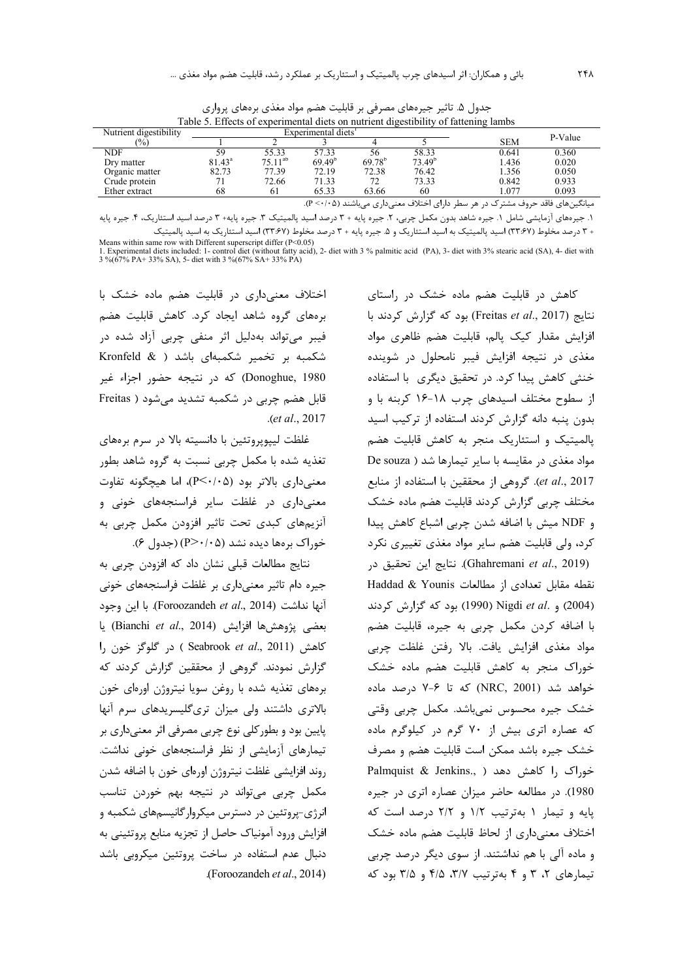| Table 5. Effects of experimental diets on nutrient digestibility of fattening lambs |                 |                                 |                    |             |                    |            |       |  |
|-------------------------------------------------------------------------------------|-----------------|---------------------------------|--------------------|-------------|--------------------|------------|-------|--|
| Nutrient digestibility                                                              |                 | Experimental diets <sup>1</sup> |                    | P-Value     |                    |            |       |  |
| $\frac{10}{6}$                                                                      |                 |                                 |                    |             |                    | <b>SEM</b> |       |  |
| NDF                                                                                 | 59              | 55.33                           | 57.33              | 56          | 58.33              | 0.641      | 0.360 |  |
| Dry matter                                                                          | $81.43^{\circ}$ | $75.11^{ab}$                    | 69.49 <sup>b</sup> | $69.78^{b}$ | 73.49 <sup>b</sup> | 1.436      | 0.020 |  |
| Organic matter                                                                      | 82.73           | 77.39                           | 72.19              | 72.38       | 76.42              | 1.356      | 0.050 |  |
| Crude protein                                                                       |                 | 72.66                           | 71.33              | 72          | 73.33              | 0.842      | 0.933 |  |
| Ether extract                                                                       | 68              | 61                              | 65.33              | 63.66       | 60                 | 1.077      | 0.093 |  |

جدول ۵. تاثیر جیرههای مصرفی بر قابلیت هضم مواد مغذی برههای پرواری<br>Latterior of Gattering l

میانگینهای فاقد حروف مشترک در هر سطر دارای اختلاف معنیداری میباشند (۰۵+۰> P).

۱. جیرههای آزمایشی شامل ۱. جیره شاهد بدون مکمل چربی، ۲. جیره پایه + ۳ درصد اسید پالمیتیک ۳. جیره پایه+ ۳ درصد اسید استئاریک، ۴. جیره پایه + ۳ درصد مخلوط (۳۳:۶۷) اسید پالمیتیک به اسید استئاریک و ۵. جیره پایه + ۳ درصد مخلوط (۳۳:۶۷) اسید استئاریک به اسید پالمیتیک

Means within same row with Different superscript differ  $(P<0.05)$ The Experimental diets included: 1- control diet (without fatty acid), 2- diet with 3 % palmitic acid (PA), 3- diet with 3% stearic acid (SA), 4- diet with 3 % (67% PA+ 33% SA), 5- diet with 3 % (67% SA+ 33% FA)

اختلاف معنی داری در قابلیت هضم ماده خشک با برههای گروه شاهد ایجاد کرد. کاهش قابلیت هضم فيبر مي تواند بهدليل اثر منفي چربي آزاد شده در شکمبه بر تخمیر شکمبهای باشد ( Kronfeld & Donoghue, 1980) که در نتیجه حضور اجزاء غیر قابل هضم چربی در شکمبه تشدید میشود ( Freitas .(et al., 2017

غلظت ليپوپروتئين با دانسيته بالا در سرم برەهاي تغذیه شده با مکمل چربی نسبت به گروه شاهد بطور معنی داری بالاتر بود (P<٠/٠۵)، اما هیچگونه تفاوت معنیداری در غلظت سایر فراسنجههای خونی و آنزیمهای کبدی تحت تاثیر افزودن مکمل چربی به خوراک بر مها دیده نشد (P>۰/۰۵) (جدول ۶).

نتايج مطالعات قبلي نشان داد كه افزودن چربي به جیره دام تاثیر معنیداری بر غلظت فراسنجههای خونی آنها نداشت (Foroozandeh et al., 2014). با این وجود بعضى يژوهشها افزايش (Bianchi et al., 2014) يا كاهش (Seabrook et al., 2011) در گلوگز خون را گزارش نمودند. گروهی از محققین گزارش کردند که برههای تغذیه شده با روغن سویا نیتروژن اورهای خون بالاتری داشتند ولی میزان تریگلیسریدهای سرم آنها پایین بود و بطور کلی نوع چربی مصرفی اثر معنیداری بر تیمارهای آزمایشی از نظر فراسنجههای خونی نداشت. روند افزایشی غلظت نیتروژن اورەای خون با اضافه شدن مکمل چربی می تواند در نتیجه بهم خوردن تناسب انرژی-پروتئین در دسترس میکروارگانیسمهای شکمبه و افزايش ورود آمونياك حاصل از تجزيه منابع پروتئيني به دنبال عدم استفاده در ساخت پروتئین میکروبی باشد (Foroozandeh et al., 2014).

کاهش در قابلیت هضم ماده خشک در راستای نتايج (Freitas et al., 2017) بود كه گزارش كردند با افزایش مقدار کیک پالم، قابلیت هضم ظاهری مواد مغذی در نتیجه افزایش فیبر نامحلول در شوینده خنثی کاهش پیدا کرد. در تحقیق دیگری با استفاده از سطوح مختلف اسیدهای چرب ۱۸-۱۶ کربنه با و بدون پنبه دانه گزارش كردند استفاده از تركيب اسيد پالمیتیک و استئاریک منجر به کاهش قابلیت هضم مواد مغذی در مقایسه با سایر تیمارها شد ( De souza et al., 2017). گروهی از محققین با استفاده از منابع مختلف چربی گزارش کردند قابلیت هضم ماده خشک و NDF ميش با اضافه شدن چربي اشباع كاهش پيدا کرد، ولی قابلیت هضم سایر مواد مغذی تغییری نکرد (Ghahremani et al., 2019). نتايج اين تحقيق در نقطه مقابل تعدادى از مطالعات Haddad & Younis (2004) و .Nigdi et al (1990) بود که گزارش کردند با اضافه کردن مکمل چربی به جیره، قابلیت هضم مواد مغذى افزايش يافت. بالا رفتن غلظت چربى خوراک منجر به کاهش قابلیت هضم ماده خشک خواهد شد (NRC, 2001) که تا ۶-۷ درصد ماده خشک جیرہ محسوس نمی باشد. مکمل چربی وقتی که عصاره اتری بیش از ۷۰ گرم در کیلوگرم ماده خشک جیره باشد ممکن است قابلیت هضم و مصرف Palmquist & Jenkins., ) خوراک ,ا کاهش دهد 1980). در مطالعه حاضر میزان عصاره اتری در جیره یایه و تیمار ١ بهترتیب ١/٢ و ٢/٢ درصد است که اختلاف معنى دارى از لحاظ قابليت هضم ماده خشک و ماده آلی با هم نداشتند. از سوی دیگر درصد چربی تیمارهای ۲، ۳ و ۴ بهترتیب ۳/۷، ۴/۵ و ۳/۵ بود که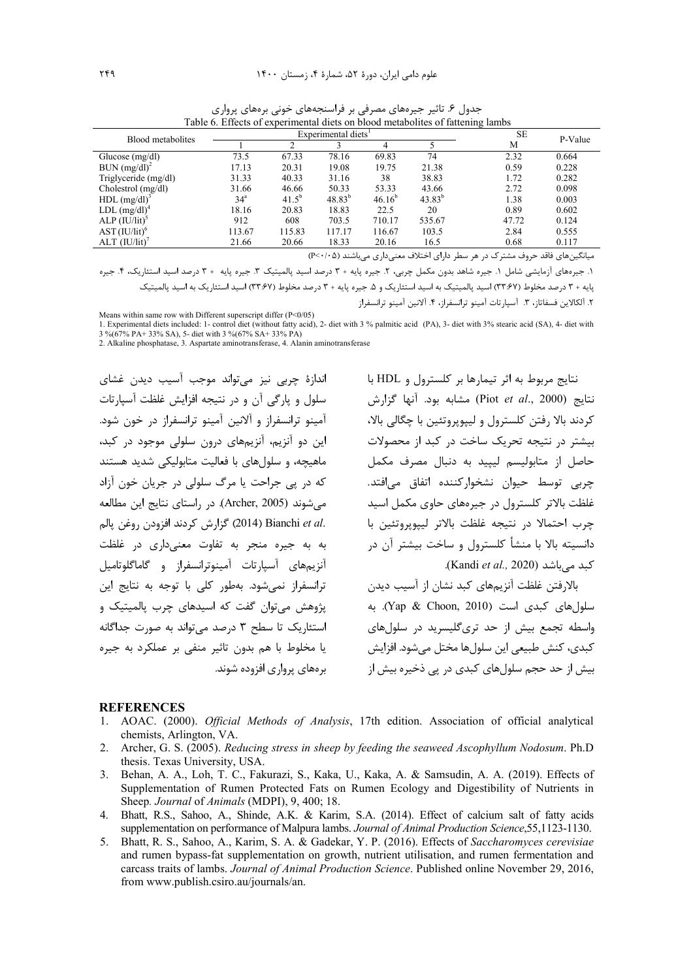| Blood metabolites          |                 | Experimental diets <sup>1</sup> | <b>SE</b>   | P-Value     |             |       |       |
|----------------------------|-----------------|---------------------------------|-------------|-------------|-------------|-------|-------|
|                            |                 |                                 |             |             |             | M     |       |
| Glucose $(mg/dl)$          | 73.5            | 67.33                           | 78.16       | 69.83       | 74          | 2.32  | 0.664 |
| BUN (mg/dl) <sup>2</sup>   | 17.13           | 20.31                           | 19.08       | 19.75       | 21.38       | 0.59  | 0.228 |
| Triglyceride (mg/dl)       | 31.33           | 40.33                           | 31.16       | 38          | 38.83       | 1.72  | 0.282 |
| Cholestrol (mg/dl)         | 31.66           | 46.66                           | 50.33       | 53.33       | 43.66       | 2.72  | 0.098 |
| $HDL$ (mg/dl) <sup>3</sup> | 34 <sup>a</sup> | $41.5^{b}$                      | $48.83^{b}$ | $46.16^{b}$ | $43.83^{b}$ | 1.38  | 0.003 |
| LDL (mg/dl) <sup>4</sup>   | 18.16           | 20.83                           | 18.83       | 22.5        | 20          | 0.89  | 0.602 |
| $ALP (IU/lit)^5$           | 912             | 608                             | 703.5       | 710.17      | 535.67      | 47.72 | 0.124 |
| $AST (IU/lit)^6$           | 113.67          | 115.83                          | 117.17      | 116.67      | 103.5       | 2.84  | 0.555 |
| ALT (IU/lit)               | 21.66           | 20.66                           | 18.33       | 20.16       | 16.5        | 0.68  | 0.117 |

جدول ۶. تاثیر جیرههای مصرفی بر فراسنجههای خونی برههای پرواری Table 6. Effects of experimental diets on blood metabolites of fattening lambs

میانگینهای فاقد حروف مشترک در هر سطر دارای اختلاف معنیداری می باشند (P<٠/٠۵)

١. جیرههای آزمایشی شامل ١. جیره شاهد بدون مکمل چربی، ٢. جیره پایه + ٣ درصد اسید پالمیتیک ٣. جیره پایه + ٣ درصد اسید استئاریک، ۴. جیره پایه + ۳ درصد مخلوط (۳۳:۶۷) اسید پالمیتیک به اسید استئاریک و ۵. جیره پایه + ۳ درصد مخلوط (۳۳:۶۷) اسید استئاریک به اسید پالمیتیک

٢. آلكالاين فسفاتاز، ٣. آسپارتات آمينو ترانسفراز، ۴. آلانين آمينو ترانسفراز

Means within same row with Different superscript differ (P<0/05)

1. Experimental diets included: 1- control diet (without fatty acid), 2- diet with 3 % palmitic acid (PA), 3- diet with 3% stearic acid (SA), 4- diet with 3 %(67% PA+ 33% SA), 5- diet with 3 %(67% SA+ 33% PA)

2. Alkaline phosphatase, 3. Aspartate aminotransferase, 4. Alanin aminotransferase

اندازۂ چربی نیز مے تواند موجب آسیب دیدن غشای سلول و پارگی آن و در نتیجه افزایش غلظت آسپارتات آمينو ترانسفراز و آلانين آمينو ترانسفراز در خون شود. این دو آنزیم، آنزیمهای درون سلولی موجود در کبد، ماهیچه، و سلولهای با فعالیت متابولیکی شدید هستند که در پی جراحت یا مرگ سلولی در جریان خون آزاد می شوند (Archer, 2005). در راستای نتایج این مطالعه .2014) Bianchi et al (2014) گزارش كردند افزودن روغن پالم به به جیره منجر به تفاوت معنیداری در غلظت آنزیمهای آسیا<sub>د</sub>تات آمینوترانسفراز و گاماگلوتامیل ترانسفراز نمی شود. بهطور کلی با توجه به نتایج این یژوهش می توان گفت که اسیدهای چرب پالمیتیک و استئاریک تا سطح ۳ درصد میتواند به صورت جداگانه یا مخلوط با هم بدون تاثیر منفی بر عملکرد به جیره برمهای پرواړی افزوده شوند.

نتايج مربوط به اثر تيمارها بر كلسترول و HDL با نتايج (Piot et al., 2000) مشابه بود. آنها گزارش کردند بالا رفتن کلسترول و ليپويروتئين با چگالي بالا، بیشتر در نتیجه تحریک ساخت در کبد از محصولات حاصل از متابولیسم لیپید به دنبال مصرف مکمل چربی توسط حیوان نشخوارکننده اتفاق می|فتد. غلظت بالاتر کلسترول در جیرههای حاوی مکمل اسید چرب احتمالا در نتيجه غلظت بالاتر ليپوپروتئين با دانسیته بالا با منشأ کلسترول و ساخت بیشتر آن در كيد مي باشد (Kandi et al., 2020).

بالارفتن غلظت آنزیمهای کبد نشان از آسیب دیدن سلول های کبدی است (Yap & Choon, 2010). به واسطه تجمع بیش از حد تریگلیسرید در سلولهای کيدي، کنش طبيعي اين سلولها مختل مي شود. افزايش بیش از حد حجم سلولهای کبدی در پی ذخیره بیش از

#### **REFERENCES**

- 1. AOAC. (2000). Official Methods of Analysis, 17th edition. Association of official analytical chemists, Arlington, VA.
- Archer, G. S. (2005). Reducing stress in sheep by feeding the seaweed Ascophyllum Nodosum. Ph.D 2. thesis. Texas University, USA.
- 3. Behan, A. A., Loh, T. C., Fakurazi, S., Kaka, U., Kaka, A. & Samsudin, A. A. (2019). Effects of Supplementation of Rumen Protected Fats on Rumen Ecology and Digestibility of Nutrients in Sheep. Journal of Animals (MDPI), 9, 400; 18.
- 4. Bhatt, R.S., Sahoo, A., Shinde, A.K. & Karim, S.A. (2014). Effect of calcium salt of fatty acids supplementation on performance of Malpura lambs. Journal of Animal Production Science, 55, 1123-1130.
- 5. Bhatt, R. S., Sahoo, A., Karim, S. A. & Gadekar, Y. P. (2016). Effects of Saccharomyces cerevisiae and rumen bypass-fat supplementation on growth, nutrient utilisation, and rumen fermentation and carcass traits of lambs. Journal of Animal Production Science. Published online November 29, 2016, from www.publish.csiro.au/journals/an.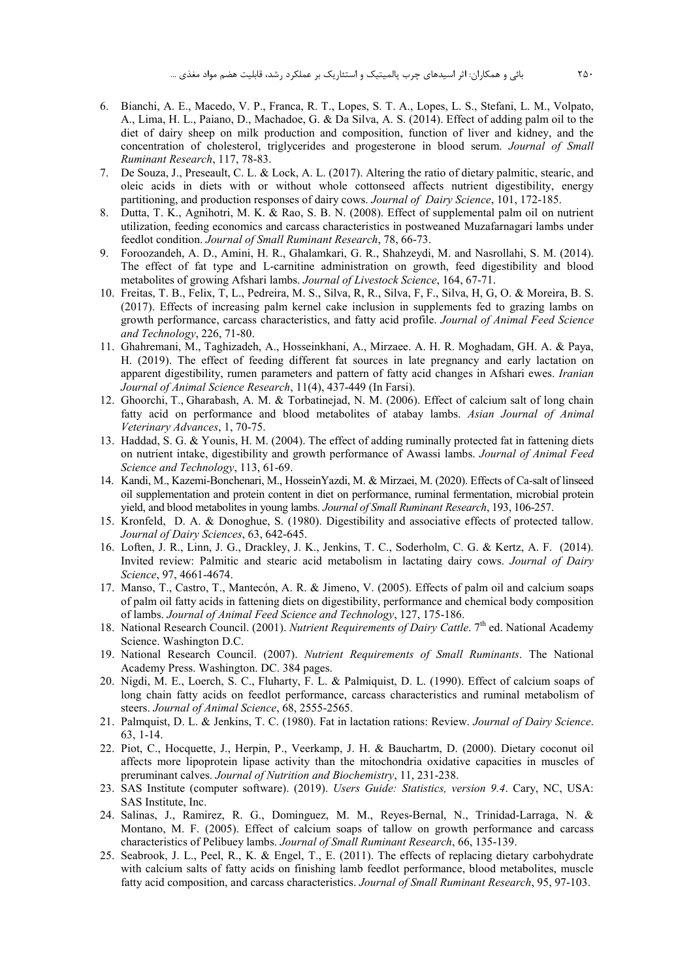- 6. Bianchi, A. E., Macedo, V. P., Franca, R. T., Lopes, S. T. A., Lopes, L. S., Stefani, L. M., Volpato, A., Lima, H. L., Paiano, D., Machadoe, G. & Da Silva, A. S. (2014). Effect of adding palm oil to the diet of dairy sheep on milk production and composition, function of liver and kidney, and the concentration of cholesterol, triglycerides and progesterone in blood serum. *Journal of Small Ruminant Research*, 117, 78-83.
- 7. De Souza, J., Preseault, C. L. & Lock, A. L. (2017). Altering the ratio of dietary palmitic, stearic, and oleic acids in diets with or without whole cottonseed affects nutrient digestibility, energy partitioning, and production responses of dairy cows. *Journal of Dairy Science*, 101, 172-185.
- 8. Dutta, T. K., Agnihotri, M. K. & Rao, S. B. N. (2008). Effect of supplemental palm oil on nutrient utilization, feeding economics and carcass characteristics in postweaned Muzafarnagari lambs under feedlot condition. *Journal of Small Ruminant Research*, 78, 66-73.
- 9. Foroozandeh, A. D., Amini, H. R., Ghalamkari, G. R., Shahzeydi, M. and Nasrollahi, S. M. (2014). The effect of fat type and L-carnitine administration on growth, feed digestibility and blood metabolites of growing Afshari lambs. *Journal of Livestock Science*, 164, 67-71.
- 10. Freitas, T. B., Felix, T, L., Pedreira, M. S., Silva, R, R., Silva, F, F., Silva, H, G, O. & Moreira, B. S. (2017). Effects of increasing palm kernel cake inclusion in supplements fed to grazing lambs on growth performance, carcass characteristics, and fatty acid profile. *Journal of Animal Feed Science and Technology*, 226, 71-80.
- 11. Ghahremani, M., Taghizadeh, A., Hosseinkhani, A., Mirzaee. A. H. R. Moghadam, GH. A. & Paya, H. (2019). The effect of feeding different fat sources in late pregnancy and early lactation on apparent digestibility, rumen parameters and pattern of fatty acid changes in Afshari ewes. *Iranian Journal of Animal Science Research*, 11(4), 437-449 (In Farsi).
- 12. Ghoorchi, T., Gharabash, A. M. & Torbatinejad, N. M. (2006). Effect of calcium salt of long chain fatty acid on performance and blood metabolites of atabay lambs. *Asian Journal of Animal Veterinary Advances*, 1, 70-75.
- 13. Haddad, S. G. & Younis, H. M. (2004). The effect of adding ruminally protected fat in fattening diets on nutrient intake, digestibility and growth performance of Awassi lambs. *Journal of Animal Feed Science and Technology*, 113, 61-69.
- 14. Kandi, M., Kazemi-Bonchenari, M., HosseinYazdi, M. & Mirzaei, M. (2020). Effects of Ca-salt of linseed oil supplementation and protein content in diet on performance, ruminal fermentation, microbial protein yield, and blood metabolites in young lambs. *Journal of Small Ruminant Research*, 193, 106-257.
- 15. Kronfeld, D. A. & Donoghue, S. (1980). Digestibility and associative effects of protected tallow. *Journal of Dairy Sciences*, 63, 642-645.
- 16. Loften, J. R., Linn, J. G., Drackley, J. K., Jenkins, T. C., Soderholm, C. G. & Kertz, A. F. (2014). Invited review: Palmitic and stearic acid metabolism in lactating dairy cows. *Journal of Dairy Science*, 97, 4661-4674.
- 17. Manso, T., Castro, T., Mantecón, A. R. & Jimeno, V. (2005). Effects of palm oil and calcium soaps of palm oil fatty acids in fattening diets on digestibility, performance and chemical body composition of lambs. *Journal of Animal Feed Science and Technology*, 127, 175-186.
- 18. National Research Council. (2001). *Nutrient Requirements of Dairy Cattle*. 7<sup>th</sup> ed. National Academy Science. Washington D.C.
- 19. National Research Council. (2007). *Nutrient Requirements of Small Ruminants*. The National Academy Press. Washington. DC. 384 pages.
- 20. Nigdi, M. E., Loerch, S. C., Fluharty, F. L. & Palmiquist, D. L. (1990). Effect of calcium soaps of long chain fatty acids on feedlot performance, carcass characteristics and ruminal metabolism of steers. *Journal of Animal Science*, 68, 2555-2565.
- 21. Palmquist, D. L. & Jenkins, T. C. (1980). Fat in lactation rations: Review. *Journal of Dairy Science*. 63, 1-14.
- 22. Piot, C., Hocquette, J., Herpin, P., Veerkamp, J. H. & Bauchartm, D. (2000). Dietary coconut oil affects more lipoprotein lipase activity than the mitochondria oxidative capacities in muscles of preruminant calves. *Journal of Nutrition and Biochemistry*, 11, 231-238.
- 23. SAS Institute (computer software). (2019). *Users Guide: Statistics, version 9.4*. Cary, NC, USA: SAS Institute, Inc.
- 24. Salinas, J., Ramirez, R. G., Dominguez, M. M., Reyes-Bernal, N., Trinidad-Larraga, N. & Montano, M. F. (2005). Effect of calcium soaps of tallow on growth performance and carcass characteristics of Pelibuey lambs. *Journal of Small Ruminant Research*, 66, 135-139.
- 25. Seabrook, J. L., Peel, R., K. & Engel, T., E. (2011). The effects of replacing dietary carbohydrate with calcium salts of fatty acids on finishing lamb feedlot performance, blood metabolites, muscle fatty acid composition, and carcass characteristics. *Journal of Small Ruminant Research*, 95, 97-103.